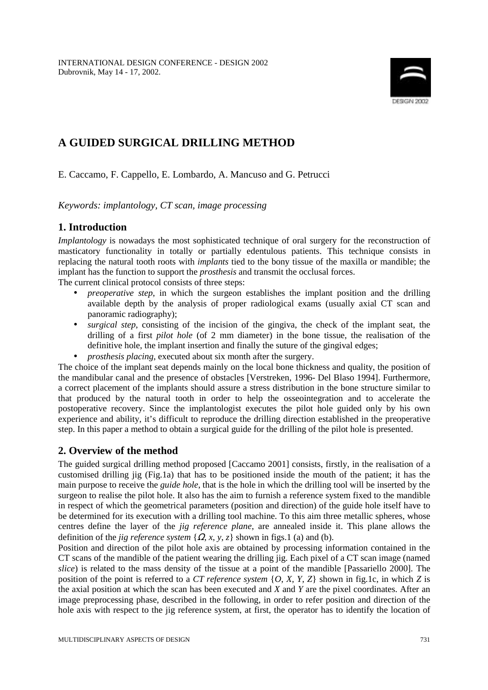

# **A GUIDED SURGICAL DRILLING METHOD**

E. Caccamo, F. Cappello, E. Lombardo, A. Mancuso and G. Petrucci

*Keywords: implantology, CT scan, image processing* 

## **1. Introduction**

*Implantology* is nowadays the most sophisticated technique of oral surgery for the reconstruction of masticatory functionality in totally or partially edentulous patients. This technique consists in replacing the natural tooth roots with *implants* tied to the bony tissue of the maxilla or mandible; the implant has the function to support the *prosthesis* and transmit the occlusal forces.

The current clinical protocol consists of three steps:

- *preoperative step*, in which the surgeon establishes the implant position and the drilling available depth by the analysis of proper radiological exams (usually axial CT scan and panoramic radiography);
- *surgical step*, consisting of the incision of the gingiva, the check of the implant seat, the drilling of a first *pilot hole* (of 2 mm diameter) in the bone tissue, the realisation of the definitive hole, the implant insertion and finally the suture of the gingival edges;
- *prosthesis placing*, executed about six month after the surgery.

The choice of the implant seat depends mainly on the local bone thickness and quality, the position of the mandibular canal and the presence of obstacles [Verstreken, 1996- Del Blaso 1994]. Furthermore, a correct placement of the implants should assure a stress distribution in the bone structure similar to that produced by the natural tooth in order to help the osseointegration and to accelerate the postoperative recovery. Since the implantologist executes the pilot hole guided only by his own experience and ability, it's difficult to reproduce the drilling direction established in the preoperative step. In this paper a method to obtain a surgical guide for the drilling of the pilot hole is presented.

# **2. Overview of the method**

The guided surgical drilling method proposed [Caccamo 2001] consists, firstly, in the realisation of a customised drilling jig (Fig.1a) that has to be positioned inside the mouth of the patient; it has the main purpose to receive the *guide hole*, that is the hole in which the drilling tool will be inserted by the surgeon to realise the pilot hole. It also has the aim to furnish a reference system fixed to the mandible in respect of which the geometrical parameters (position and direction) of the guide hole itself have to be determined for its execution with a drilling tool machine. To this aim three metallic spheres, whose centres define the layer of the *jig reference plane*, are annealed inside it. This plane allows the definition of the *jig reference system*  $\{Q, x, y, z\}$  shown in figs.1 (a) and (b).

Position and direction of the pilot hole axis are obtained by processing information contained in the CT scans of the mandible of the patient wearing the drilling jig. Each pixel of a CT scan image (named *slice*) is related to the mass density of the tissue at a point of the mandible [Passariello 2000]. The position of the point is referred to a *CT reference system* {*O*, *X*, *Y*, *Z*} shown in fig.1c, in which *Z* is the axial position at which the scan has been executed and *X* and *Y* are the pixel coordinates. After an image preprocessing phase, described in the following, in order to refer position and direction of the hole axis with respect to the jig reference system, at first, the operator has to identify the location of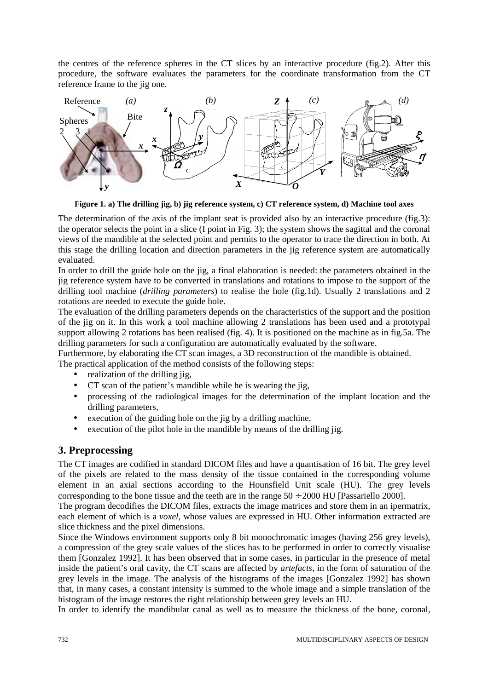the centres of the reference spheres in the CT slices by an interactive procedure (fig.2). After this procedure, the software evaluates the parameters for the coordinate transformation from the CT reference frame to the jig one.



**Figure 1. a) The drilling jig, b) jig reference system, c) CT reference system, d) Machine tool axes**

The determination of the axis of the implant seat is provided also by an interactive procedure (fig.3): the operator selects the point in a slice  $(I$  point in Fig. 3); the system shows the sagittal and the coronal views of the mandible at the selected point and permits to the operator to trace the direction in both. At this stage the drilling location and direction parameters in the jig reference system are automatically evaluated.

In order to drill the guide hole on the jig, a final elaboration is needed: the parameters obtained in the jig reference system have to be converted in translations and rotations to impose to the support of the drilling tool machine (*drilling parameters*) to realise the hole (fig.1d). Usually 2 translations and 2 rotations are needed to execute the guide hole.

The evaluation of the drilling parameters depends on the characteristics of the support and the position of the jig on it. In this work a tool machine allowing 2 translations has been used and a prototypal support allowing 2 rotations has been realised (fig. 4). It is positioned on the machine as in fig.5a. The drilling parameters for such a configuration are automatically evaluated by the software.

Furthermore, by elaborating the CT scan images, a 3D reconstruction of the mandible is obtained. The practical application of the method consists of the following steps:

- realization of the drilling jig,
- CT scan of the patient's mandible while he is wearing the iig.
- processing of the radiological images for the determination of the implant location and the drilling parameters,
- execution of the guiding hole on the jig by a drilling machine,
- execution of the pilot hole in the mandible by means of the drilling jig.

# **3. Preprocessing**

The CT images are codified in standard DICOM files and have a quantisation of 16 bit. The grey level of the pixels are related to the mass density of the tissue contained in the corresponding volume element in an axial sections according to the Hounsfield Unit scale (HU). The grey levels corresponding to the bone tissue and the teeth are in the range  $50 \div 2000$  HU [Passariello 2000].

The program decodifies the DICOM files, extracts the image matrices and store them in an ipermatrix, each element of which is a *voxel*, whose values are expressed in HU. Other information extracted are slice thickness and the pixel dimensions.

Since the Windows environment supports only 8 bit monochromatic images (having 256 grey levels), a compression of the grey scale values of the slices has to be performed in order to correctly visualise them [Gonzalez 1992]. It has been observed that in some cases, in particular in the presence of metal inside the patient's oral cavity, the CT scans are affected by *artefacts*, in the form of saturation of the grey levels in the image. The analysis of the histograms of the images [Gonzalez 1992] has shown that, in many cases, a constant intensity is summed to the whole image and a simple translation of the histogram of the image restores the right relationship between grey levels an HU.

In order to identify the mandibular canal as well as to measure the thickness of the bone, coronal,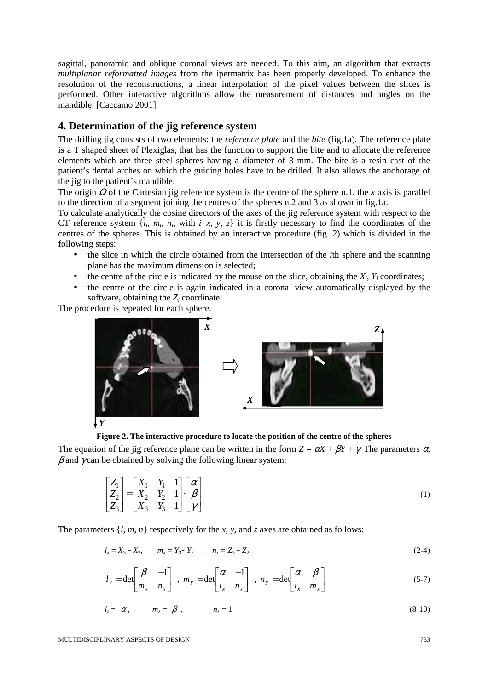sagittal, panoramic and oblique coronal views are needed. To this aim, an algorithm that extracts *multiplanar reformatted images* from the ipermatrix has been properly developed. To enhance the resolution of the reconstructions, a linear interpolation of the pixel values between the slices is performed. Other interactive algorithms allow the measurement of distances and angles on the mandible. [Caccamo 2001]

## **4. Determination of the jig reference system**

The drilling jig consists of two elements: the *reference plate* and the *bite* (fig.1a). The reference plate is a T shaped sheet of Plexiglas, that has the function to support the bite and to allocate the reference elements which are three steel spheres having a diameter of 3 mm. The bite is a resin cast of the patient's dental arches on which the guiding holes have to be drilled. It also allows the anchorage of the jig to the patient's mandible.

The origin Ω of the Cartesian jig reference system is the centre of the sphere n.1, the *x* axis is parallel to the direction of a segment joining the centres of the spheres n.2 and 3 as shown in fig.1a.

To calculate analytically the cosine directors of the axes of the jig reference system with respect to the CT reference system  $\{l_i, m_i, n_i, \text{ with } i = x, y, z\}$  it is firstly necessary to find the coordinates of the centres of the spheres. This is obtained by an interactive procedure (fig. 2) which is divided in the following steps:

- the slice in which the circle obtained from the intersection of the *i*th sphere and the scanning plane has the maximum dimension is selected;
- the centre of the circle is indicated by the mouse on the slice, obtaining the  $X_i$ ,  $Y_i$  coordinates;
- the centre of the circle is again indicated in a coronal view automatically displayed by the software, obtaining the *Zi* coordinate.

The procedure is repeated for each sphere.



**Figure 2. The interactive procedure to locate the position of the centre of the spheres** 

The equation of the jig reference plane can be written in the form  $Z = \alpha X + \beta Y + \gamma$ . The parameters  $\alpha$ ,  $\beta$  and  $\gamma$  can be obtained by solving the following linear system:

$$
\begin{bmatrix} Z_1 \\ Z_2 \\ Z_3 \end{bmatrix} = \begin{bmatrix} X_1 & Y_1 & 1 \\ X_2 & Y_2 & 1 \\ X_3 & Y_3 & 1 \end{bmatrix} \cdot \begin{bmatrix} \alpha \\ \beta \\ \gamma \end{bmatrix}
$$
 (1)

The parameters  $\{l, m, n\}$  respectively for the *x*, *y*, and *z* axes are obtained as follows:

$$
l_x = X_3 - X_2, \qquad m_x = Y_3 - Y_2 \quad , \quad n_x = Z_3 - Z_2 \tag{2-4}
$$

$$
l_{y} = \det \begin{bmatrix} \beta & -1 \\ m_{x} & n_{x} \end{bmatrix} , m_{y} = \det \begin{bmatrix} \alpha & -1 \\ l_{x} & n_{x} \end{bmatrix} , n_{y} = \det \begin{bmatrix} \alpha & \beta \\ l_{x} & m_{x} \end{bmatrix}
$$
 (5-7)

$$
l_z = -\alpha, \qquad m_z = -\beta, \qquad n_z = 1 \tag{8-10}
$$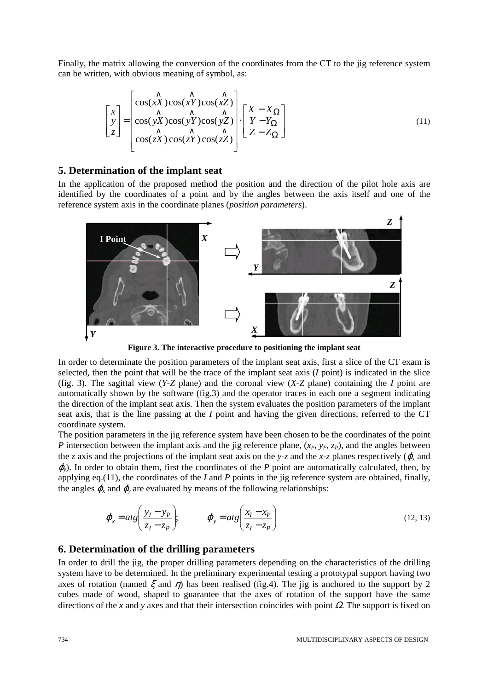Finally, the matrix allowing the conversion of the coordinates from the CT to the jig reference system can be written, with obvious meaning of symbol, as:

$$
\begin{bmatrix} x \\ y \\ z \end{bmatrix} = \begin{bmatrix} \cos(\chi \hat{X})\cos(\chi \hat{Y})\cos(\chi \hat{Z}) \\ \cos(\chi \hat{X})\cos(\chi \hat{Y})\cos(\chi \hat{Z}) \\ \cos(\chi \hat{X})\cos(\chi \hat{Y})\cos(\chi \hat{Z}) \end{bmatrix} \cdot \begin{bmatrix} X - X_{\Omega} \\ Y - Y_{\Omega} \\ Z - Z_{\Omega} \end{bmatrix}
$$
(11)

#### **5. Determination of the implant seat**

In the application of the proposed method the position and the direction of the pilot hole axis are identified by the coordinates of a point and by the angles between the axis itself and one of the reference system axis in the coordinate planes (*position parameters*).



**Figure 3. The interactive procedure to positioning the implant seat** 

In order to determinate the position parameters of the implant seat axis, first a slice of the CT exam is selected, then the point that will be the trace of the implant seat axis (*I* point) is indicated in the slice (fig. 3). The sagittal view (*Y*-*Z* plane) and the coronal view (*X*-*Z* plane) containing the *I* point are automatically shown by the software (fig.3) and the operator traces in each one a segment indicating the direction of the implant seat axis. Then the system evaluates the position parameters of the implant seat axis, that is the line passing at the *I* point and having the given directions, referred to the CT coordinate system.

The position parameters in the jig reference system have been chosen to be the coordinates of the point *P* intersection between the implant axis and the jig reference plane,  $(x_p, y_p, z_p)$ , and the angles between the *z* axis and the projections of the implant seat axis on the *y*-*z* and the *x*-*z* planes respectively ( $\varphi$ <sub>x</sub> and <sup>ϕ</sup>*y*). In order to obtain them, first the coordinates of the *P* point are automatically calculated, then, by applying eq.(11), the coordinates of the *I* and *P* points in the jig reference system are obtained, finally, the angles  $\varphi_x$  and  $\varphi_y$  are evaluated by means of the following relationships:

$$
\varphi_x = atg\left(\frac{y_I - y_P}{z_I - z_P}\right); \qquad \varphi_y = atg\left(\frac{x_I - x_P}{z_I - z_P}\right)
$$
\n(12, 13)

#### **6. Determination of the drilling parameters**

In order to drill the jig, the proper drilling parameters depending on the characteristics of the drilling system have to be determined. In the preliminary experimental testing a prototypal support having two axes of rotation (named  $\xi$  and  $\eta$ ) has been realised (fig.4). The jig is anchored to the support by 2 cubes made of wood, shaped to guarantee that the axes of rotation of the support have the same directions of the *x* and *y* axes and that their intersection coincides with point Ω. The support is fixed on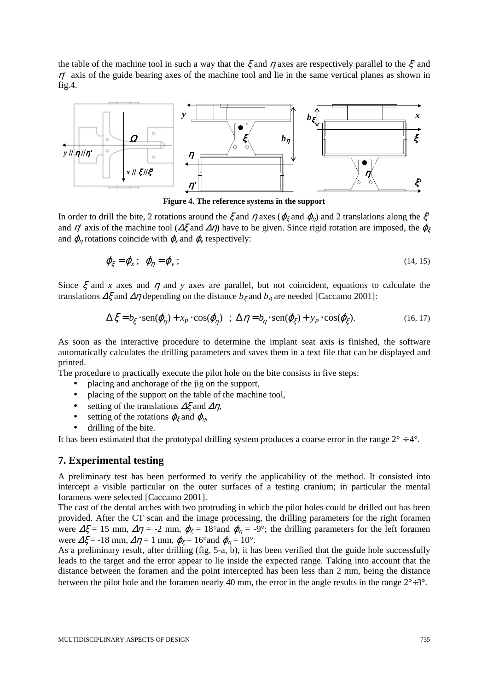the table of the machine tool in such a way that the  $\xi$  and  $\eta$  axes are respectively parallel to the  $\xi'$  and  $\eta'$  axis of the guide bearing axes of the machine tool and lie in the same vertical planes as shown in fig.4.



**Figure 4. The reference systems in the support** 

In order to drill the bite, 2 rotations around the  $\xi$  and  $\eta$  axes ( $\varphi_{\xi}$  and  $\varphi_{\eta}$ ) and 2 translations along the  $\xi$ and  $\eta'$  axis of the machine tool ( $\Delta \xi$  and  $\Delta \eta$ ) have to be given. Since rigid rotation are imposed, the  $\varphi_{\xi}$ and  $\varphi_n$  rotations coincide with  $\varphi_n$  and  $\varphi_n$  respectively:

$$
\varphi_{\xi} = \varphi_x \, ; \, \varphi_{\eta} = \varphi_y \, ; \tag{14.15}
$$

Since  $\xi$  and *x* axes and  $\eta$  and *y* axes are parallel, but not coincident, equations to calculate the translations  $\Delta \xi$  and  $\Delta \eta$  depending on the distance  $b_{\xi}$  and  $b_{\eta}$  are needed [Caccamo 2001]:

$$
\Delta \xi = b_{\xi} \cdot \text{sen}(\varphi_{\eta}) + x_P \cdot \text{cos}(\varphi_{\eta}) \quad ; \quad \Delta \eta = b_{\eta} \cdot \text{sen}(\varphi_{\xi}) + y_P \cdot \text{cos}(\varphi_{\xi}). \tag{16, 17}
$$

As soon as the interactive procedure to determine the implant seat axis is finished, the software automatically calculates the drilling parameters and saves them in a text file that can be displayed and printed.

The procedure to practically execute the pilot hole on the bite consists in five steps:

- placing and anchorage of the jig on the support,
- placing of the support on the table of the machine tool,
- setting of the translations  $\Delta \xi$  and  $\Delta \eta$ ,
- setting of the rotations  $\varphi_{\xi}$  and  $\varphi_{n}$ ,
- drilling of the bite.

It has been estimated that the prototypal drilling system produces a coarse error in the range  $2^{\circ} \div 4^{\circ}$ .

#### **7. Experimental testing**

A preliminary test has been performed to verify the applicability of the method. It consisted into intercept a visible particular on the outer surfaces of a testing cranium; in particular the mental foramens were selected [Caccamo 2001].

The cast of the dental arches with two protruding in which the pilot holes could be drilled out has been provided. After the CT scan and the image processing, the drilling parameters for the right foramen were  $\Delta \xi = 15$  mm,  $\Delta \eta = -2$  mm,  $\varphi_{\xi} = 18^{\circ}$  and  $\varphi_{\eta} = -9^{\circ}$ ; the drilling parameters for the left foramen were  $\Delta \xi = -18$  mm,  $\Delta \eta = 1$  mm,  $\varphi_{\xi} = 16^{\circ}$  and  $\varphi_{\eta} = 10^{\circ}$ .

As a preliminary result, after drilling (fig. 5-a, b), it has been verified that the guide hole successfully leads to the target and the error appear to lie inside the expected range. Taking into account that the distance between the foramen and the point intercepted has been less than 2 mm, being the distance between the pilot hole and the foramen nearly 40 mm, the error in the angle results in the range  $2^{\circ}$  + 3°.